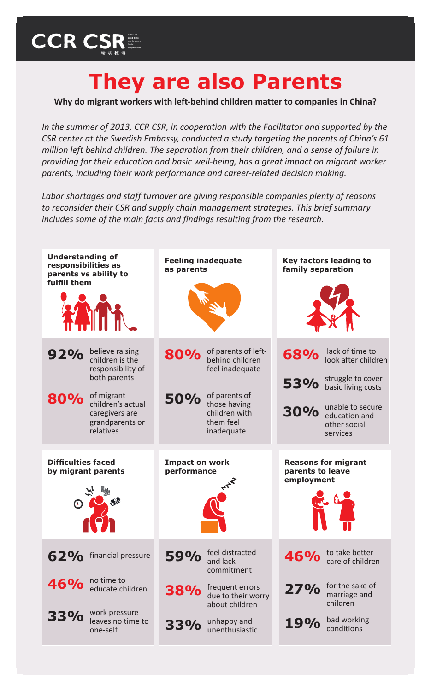## **CCR CSR**

## **They are also Parents**

**Why do migrant workers with left-behind children matter to companies in China?**

*In the summer of 2013, CCR CSR, in cooperation with the Facilitator and supported by the CSR center at the Swedish Embassy, conducted a study targeting the parents of China's 61 million left behind children. The separation from their children, and a sense of failure in providing for their education and basic well-being, has a great impact on migrant worker parents, including their work performance and career-related decision making.* 

*Labor shortages and staff turnover are giving responsible companies plenty of reasons to reconsider their CSR and supply chain management strategies. This brief summary includes some of the main facts and findings resulting from the research.*